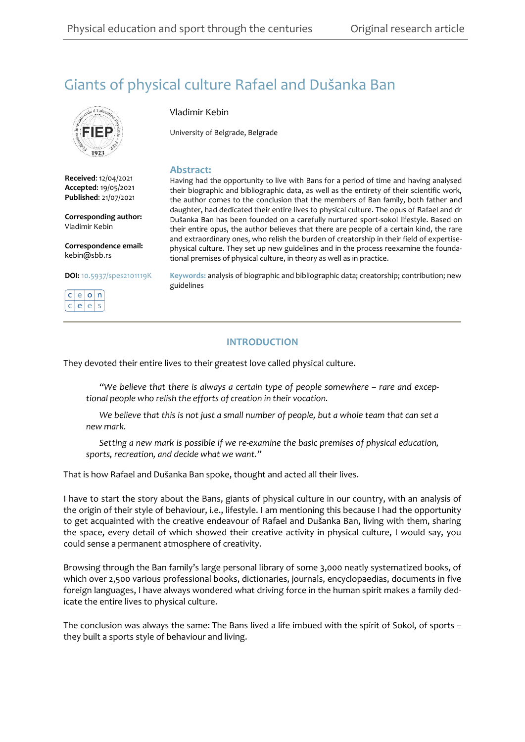# Giants of physical culture Rafael and Dušanka Ban



**Received**: 12/04/2021 **Accepted**: 19/05/2021 **Published**: 21/07/2021

**Corresponding author:** Vladimir Kebin

**Correspondence email:** kebin@sbb.rs

## **DOI:** [10.5937/spes2101119K](https://doi.org/10.5937/spes2101119K) [.](https://ceon.rs/)

 $e|o|n$  $e$   $e$   $s$ 

### Vladimir Kebin

University of Belgrade, Belgrade

#### **Abstract:**

Having had the opportunity to live with Bans for a period of time and having analysed their biographic and bibliographic data, as well as the entirety of their scientific work, the author comes to the conclusion that the members of Ban family, both father and daughter, had dedicated their entire lives to physical culture. The opus of Rafael and dr Dušanka Ban has been founded on a carefully nurtured sport-sokol lifestyle. Based on their entire opus, the author believes that there are people of a certain kind, the rare and extraordinary ones, who relish the burden of creatorship in their field of expertisephysical culture. They set up new guidelines and in the process reexamine the foundational premises of physical culture, in theory as well as in practice.

**Keywords:** analysis of biographic and bibliographic data; creatorship; contribution; new guidelines

## **INTRODUCTION**

They devoted their entire lives to their greatest love called physical culture.

 *"We believe that there is always a certain type of people somewhere – rare and exceptional people who relish the efforts of creation in their vocation.*

 *We believe that this is not just a small number of people, but a whole team that can set a new mark.*

 *Setting a new mark is possible if we re-examine the basic premises of physical education, sports, recreation, and decide what we want."*

That is how Rafael and Dušanka Ban spoke, thought and acted all their lives.

I have to start the story about the Bans, giants of physical culture in our country, with an analysis of the origin of their style of behaviour, i.e., lifestyle. I am mentioning this because I had the opportunity to get acquainted with the creative endeavour of Rafael and Dušanka Ban, living with them, sharing the space, every detail of which showed their creative activity in physical culture, I would say, you could sense a permanent atmosphere of creativity.

Browsing through the Ban family's large personal library of some 3,000 neatly systematized books, of which over 2,500 various professional books, dictionaries, journals, encyclopaedias, documents in five foreign languages, I have always wondered what driving force in the human spirit makes a family dedicate the entire lives to physical culture.

The conclusion was always the same: The Bans lived a life imbued with the spirit of Sokol, of sports – they built a sports style of behaviour and living.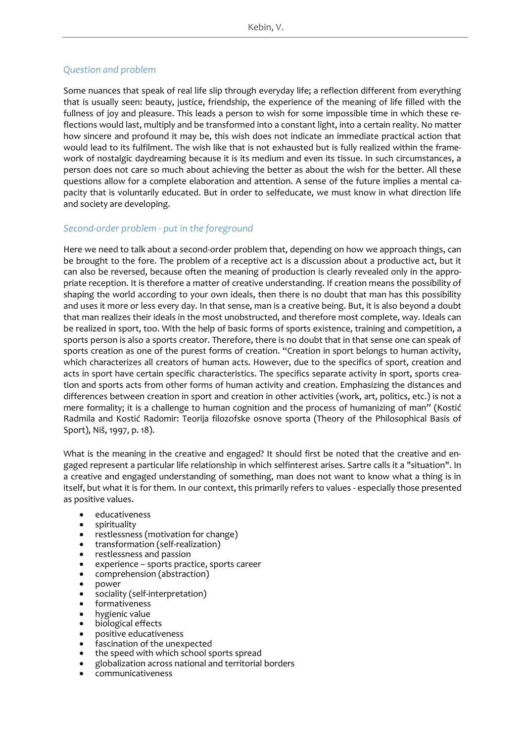## *Question and problem*

Some nuances that speak of real life slip through everyday life; a reflection different from everything that is usually seen: beauty, justice, friendship, the experience of the meaning of life filled with the fullness of joy and pleasure. This leads a person to wish for some impossible time in which these reflections would last, multiply and be transformed into a constant light, into a certain reality. No matter how sincere and profound it may be, this wish does not indicate an immediate practical action that would lead to its fulfilment. The wish like that is not exhausted but is fully realized within the framework of nostalgic daydreaming because it is its medium and even its tissue. In such circumstances, a person does not care so much about achieving the better as about the wish for the better. All these questions allow for a complete elaboration and attention. A sense of the future implies a mental capacity that is voluntarily educated. But in order to selfeducate, we must know in what direction life and society are developing.

### *Second-order problem - put in the foreground*

Here we need to talk about a second-order problem that, depending on how we approach things, can be brought to the fore. The problem of a receptive act is a discussion about a productive act, but it can also be reversed, because often the meaning of production is clearly revealed only in the appropriate reception. It is therefore a matter of creative understanding. If creation means the possibility of shaping the world according to your own ideals, then there is no doubt that man has this possibility and uses it more or less every day. In that sense, man is a creative being. But, it is also beyond a doubt that man realizes their ideals in the most unobstructed, and therefore most complete, way. Ideals can be realized in sport, too. With the help of basic forms of sports existence, training and competition, a sports person is also a sports creator. Therefore, there is no doubt that in that sense one can speak of sports creation as one of the purest forms of creation. "Creation in sport belongs to human activity, which characterizes all creators of human acts. However, due to the specifics of sport, creation and acts in sport have certain specific characteristics. The specifics separate activity in sport, sports creation and sports acts from other forms of human activity and creation. Emphasizing the distances and differences between creation in sport and creation in other activities (work, art, politics, etc.) is not a mere formality; it is a challenge to human cognition and the process of humanizing of man" (Kostić Radmila and Kostić Radomir: Teorija filozofske osnove sporta (Theory of the Philosophical Basis of Sport), Niš, 1997, p. 18).

What is the meaning in the creative and engaged? It should first be noted that the creative and engaged represent a particular life relationship in which selfinterest arises. Sartre calls it a "situation". In a creative and engaged understanding of something, man does not want to know what a thing is in itself, but what it is for them. In our context, this primarily refers to values - especially those presented as positive values.

- educativeness
- spirituality
- restlessness (motivation for change)
- transformation (self-realization)
- restlessness and passion
- experience sports practice, sports career
- comprehension (abstraction)
- power
- sociality (self-interpretation)
- formativeness
- hygienic value
- biological effects
- positive educativeness
- fascination of the unexpected
- the speed with which school sports spread
- globalization across national and territorial borders
- communicativeness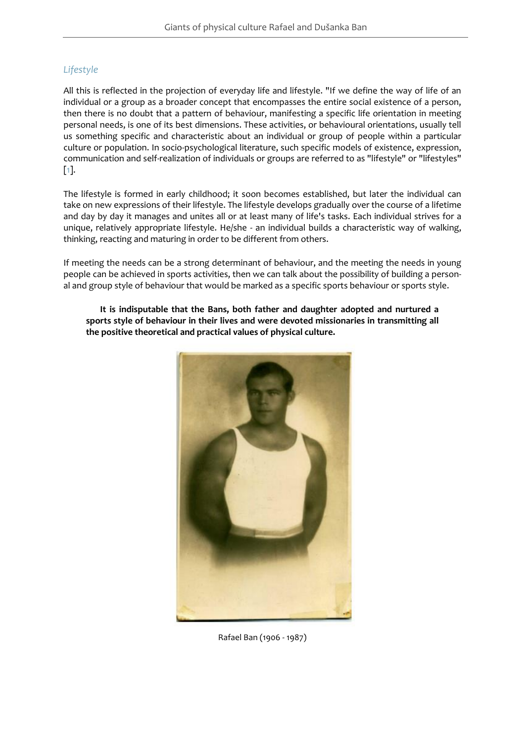## *Lifestyle*

All this is reflected in the projection of everyday life and lifestyle. "If we define the way of life of an individual or a group as a broader concept that encompasses the entire social existence of a person, then there is no doubt that a pattern of behaviour, manifesting a specific life orientation in meeting personal needs, is one of its best dimensions. These activities, or behavioural orientations, usually tell us something specific and characteristic about an individual or group of people within a particular culture or population. In socio-psychological literature, such specific models of existence, expression, communication and self-realization of individuals or groups are referred to as "lifestyle" or "lifestyles" [\[1\]](#page-22-0).

The lifestyle is formed in early childhood; it soon becomes established, but later the individual can take on new expressions of their lifestyle. The lifestyle develops gradually over the course of a lifetime and day by day it manages and unites all or at least many of life's tasks. Each individual strives for a unique, relatively appropriate lifestyle. He/she - an individual builds a characteristic way of walking, thinking, reacting and maturing in order to be different from others.

If meeting the needs can be a strong determinant of behaviour, and the meeting the needs in young people can be achieved in sports activities, then we can talk about the possibility of building a personal and group style of behaviour that would be marked as a specific sports behaviour or sports style.

 **It is indisputable that the Bans, both father and daughter adopted and nurtured a sports style of behaviour in their lives and were devoted missionaries in transmitting all the positive theoretical and practical values of physical culture.**



Rafael Ban (1906 - 1987)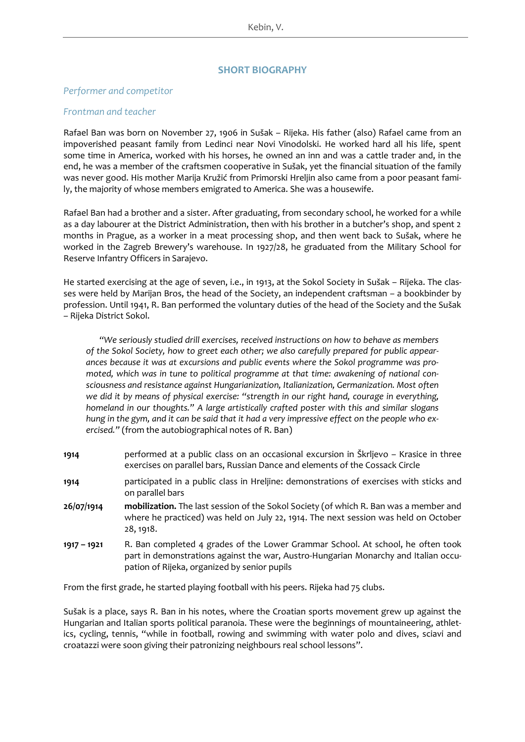### **SHORT BIOGRAPHY**

#### *Performer and competitor*

#### *Frontman and teacher*

Rafael Ban was born on November 27, 1906 in Sušak – Rijeka. His father (also) Rafael came from an impoverished peasant family from Ledinci near Novi Vinodolski. He worked hard all his life, spent some time in America, worked with his horses, he owned an inn and was a cattle trader and, in the end, he was a member of the craftsmen cooperative in Sušak, yet the financial situation of the family was never good. His mother Marija Kružić from Primorski Hreljin also came from a poor peasant family, the majority of whose members emigrated to America. She was a housewife.

Rafael Ban had a brother and a sister. After graduating, from secondary school, he worked for a while as a day labourer at the District Administration, then with his brother in a butcher's shop, and spent 2 months in Prague, as a worker in a meat processing shop, and then went back to Sušak, where he worked in the Zagreb Brewery's warehouse. In 1927/28, he graduated from the Military School for Reserve Infantry Officers in Sarajevo.

He started exercising at the age of seven, i.e., in 1913, at the Sokol Society in Sušak – Rijeka. The classes were held by Marijan Bros, the head of the Society, an independent craftsman – a bookbinder by profession. Until 1941, R. Ban performed the voluntary duties of the head of the Society and the Sušak – Rijeka District Sokol.

 *"We seriously studied drill exercises, received instructions on how to behave as members of the Sokol Society, how to greet each other; we also carefully prepared for public appearances because it was at excursions and public events where the Sokol programme was promoted, which was in tune to political programme at that time: awakening of national consciousness and resistance against Hungarianization, Italianization, Germanization. Most often we did it by means of physical exercise: "strength in our right hand, courage in everything, homeland in our thoughts." A large artistically crafted poster with this and similar slogans hung in the gym, and it can be said that it had a very impressive effect on the people who exercised."* (from the autobiographical notes of R. Ban)

- **1914** performed at a public class on an occasional excursion in Škrljevo Krasice in three exercises on parallel bars, Russian Dance and elements of the Cossack Circle
- **1914** participated in a public class in Hreljine: demonstrations of exercises with sticks and on parallel bars
- **26/07/1914 mobilization.** The last session of the Sokol Society (of which R. Ban was a member and where he practiced) was held on July 22, 1914. The next session was held on October 28, 1918.
- **1917 – 1921** R. Ban completed 4 grades of the Lower Grammar School. At school, he often took part in demonstrations against the war, Austro-Hungarian Monarchy and Italian occupation of Rijeka, organized by senior pupils

From the first grade, he started playing football with his peers. Rijeka had 75 clubs.

Sušak is a place, says R. Ban in his notes, where the Croatian sports movement grew up against the Hungarian and Italian sports political paranoia. These were the beginnings of mountaineering, athletics, cycling, tennis, "while in football, rowing and swimming with water polo and dives, sciavi and croatazzi were soon giving their patronizing neighbours real school lessons".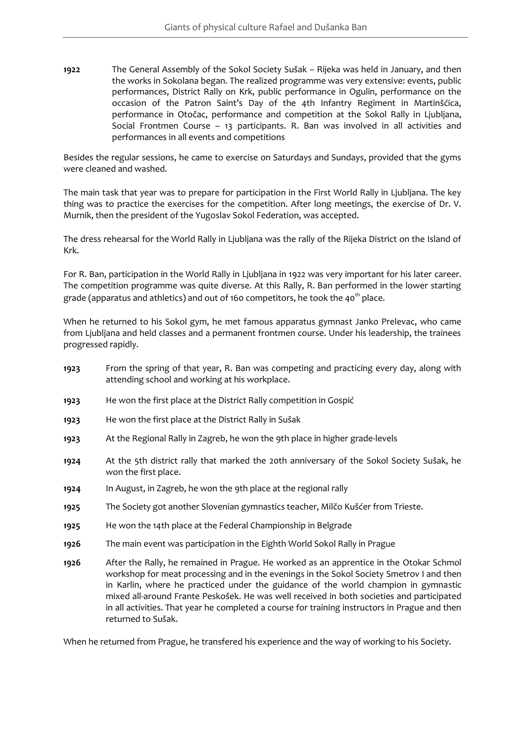**1922** The General Assembly of the Sokol Society Sušak – Rijeka was held in January, and then the works in Sokolana began. The realized programme was very extensive: events, public performances, District Rally on Krk, public performance in Ogulin, performance on the occasion of the Patron Saint's Day of the 4th Infantry Regiment in Martinšćica, performance in Otočac, performance and competition at the Sokol Rally in Ljubljana, Social Frontmen Course – 13 participants. R. Ban was involved in all activities and performances in all events and competitions

Besides the regular sessions, he came to exercise on Saturdays and Sundays, provided that the gyms were cleaned and washed.

The main task that year was to prepare for participation in the First World Rally in Ljubljana. The key thing was to practice the exercises for the competition. After long meetings, the exercise of Dr. V. Murnik, then the president of the Yugoslav Sokol Federation, was accepted.

The dress rehearsal for the World Rally in Ljubljana was the rally of the Rijeka District on the Island of Krk.

For R. Ban, participation in the World Rally in Ljubljana in 1922 was very important for his later career. The competition programme was quite diverse. At this Rally, R. Ban performed in the lower starting grade (apparatus and athletics) and out of 160 competitors, he took the 40<sup>th</sup> place.

When he returned to his Sokol gym, he met famous apparatus gymnast Janko Prelevac, who came from Ljubljana and held classes and a permanent frontmen course. Under his leadership, the trainees progressed rapidly.

- **1923** From the spring of that year, R. Ban was competing and practicing every day, along with attending school and working at his workplace.
- **1923** He won the first place at the District Rally competition in Gospić
- **1923** He won the first place at the District Rally in Sušak
- **1923** At the Regional Rally in Zagreb, he won the 9th place in higher grade-levels
- **1924** At the 5th district rally that marked the 20th anniversary of the Sokol Society Sušak, he won the first place.
- **1924** In August, in Zagreb, he won the 9th place at the regional rally
- **1925** The Society got another Slovenian gymnastics teacher, Milčo Kušćer from Trieste.
- **1925** He won the 14th place at the Federal Championship in Belgrade
- **1926** The main event was participation in the Eighth World Sokol Rally in Prague
- **1926** After the Rally, he remained in Prague. He worked as an apprentice in the Otokar Schmol workshop for meat processing and in the evenings in the Sokol Society Smetrov I and then in Karlin, where he practiced under the guidance of the world champion in gymnastic mixed all-around Frante Peskošek. He was well received in both societies and participated in all activities. That year he completed a course for training instructors in Prague and then returned to Sušak.

When he returned from Prague, he transfered his experience and the way of working to his Society.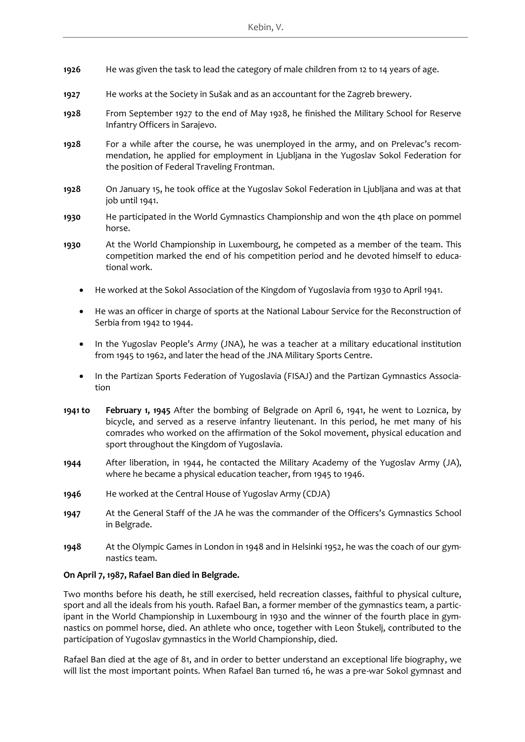- **1926** He was given the task to lead the category of male children from 12 to 14 years of age.
- **1927** He works at the Society in Sušak and as an accountant for the Zagreb brewery.
- **1928** From September 1927 to the end of May 1928, he finished the Military School for Reserve Infantry Officers in Sarajevo.
- **1928** For a while after the course, he was unemployed in the army, and on Prelevac's recommendation, he applied for employment in Ljubljana in the Yugoslav Sokol Federation for the position of Federal Traveling Frontman.
- **1928** On January 15, he took office at the Yugoslav Sokol Federation in Ljubljana and was at that job until 1941.
- **1930** He participated in the World Gymnastics Championship and won the 4th place on pommel horse.
- **1930** At the World Championship in Luxembourg, he competed as a member of the team. This competition marked the end of his competition period and he devoted himself to educational work.
	- He worked at the Sokol Association of the Kingdom of Yugoslavia from 1930 to April 1941.
	- He was an officer in charge of sports at the National Labour Service for the Reconstruction of Serbia from 1942 to 1944.
	- In the Yugoslav People's *Army* (JNA), he was a teacher at a military educational institution from 1945 to 1962, and later the head of the JNA Military Sports Centre.
	- In the Partizan Sports Federation of Yugoslavia (FISAJ) and the Partizan Gymnastics Association
- **1941 to February 1, 1945** After the bombing of Belgrade on April 6, 1941, he went to Loznica, by bicycle, and served as a reserve infantry lieutenant. In this period, he met many of his comrades who worked on the affirmation of the Sokol movement, physical education and sport throughout the Kingdom of Yugoslavia.
- **1944** After liberation, in 1944, he contacted the Military Academy of the Yugoslav Army (JA), where he became a physical education teacher, from 1945 to 1946.
- **1946** He worked at the Central House of Yugoslav Army (CDJA)
- **1947** At the General Staff of the JA he was the commander of the Officers's Gymnastics School in Belgrade.
- **1948** At the Olympic Games in London in 1948 and in Helsinki 1952, he was the coach of our gymnastics team.

### **On April 7, 1987, Rafael Ban died in Belgrade.**

Two months before his death, he still exercised, held recreation classes, faithful to physical culture, sport and all the ideals from his youth. Rafael Ban, a former member of the gymnastics team, a participant in the World Championship in Luxembourg in 1930 and the winner of the fourth place in gymnastics on pommel horse, died. An athlete who once, together with Leon Štukelj, contributed to the participation of Yugoslav gymnastics in the World Championship, died.

Rafael Ban died at the age of 81, and in order to better understand an exceptional life biography, we will list the most important points. When Rafael Ban turned 16, he was a pre-war Sokol gymnast and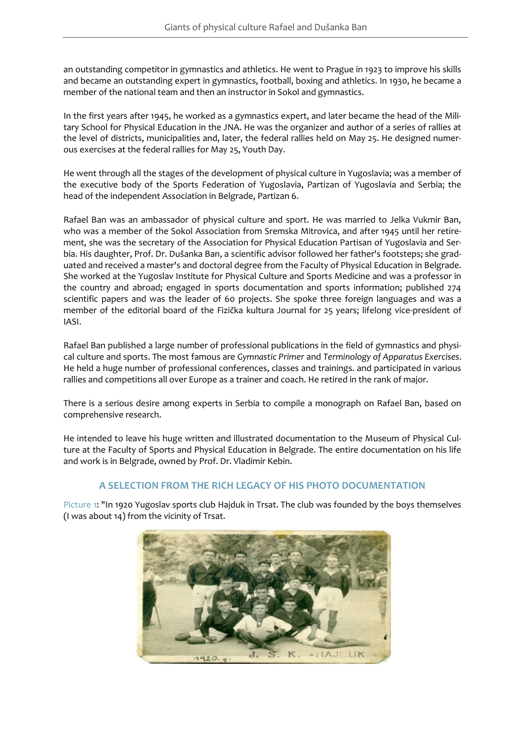an outstanding competitor in gymnastics and athletics. He went to Prague in 1923 to improve his skills and became an outstanding expert in gymnastics, football, boxing and athletics. In 1930, he became a member of the national team and then an instructor in Sokol and gymnastics.

In the first years after 1945, he worked as a gymnastics expert, and later became the head of the Military School for Physical Education in the JNA. He was the organizer and author of a series of rallies at the level of districts, municipalities and, later, the federal rallies held on May 25. He designed numerous exercises at the federal rallies for May 25, Youth Day.

He went through all the stages of the development of physical culture in Yugoslavia; was a member of the executive body of the Sports Federation of Yugoslavia, Partizan of Yugoslavia and Serbia; the head of the independent Association in Belgrade, Partizan 6.

Rafael Ban was an ambassador of physical culture and sport. He was married to Jelka Vukmir Ban, who was a member of the Sokol Association from Sremska Mitrovica, and after 1945 until her retirement, she was the secretary of the Association for Physical Education Partisan of Yugoslavia and Serbia. His daughter, Prof. Dr. Dušanka Ban, a scientific advisor followed her father's footsteps; she graduated and received a master's and doctoral degree from the Faculty of Physical Education in Belgrade. She worked at the Yugoslav Institute for Physical Culture and Sports Medicine and was a professor in the country and abroad; engaged in sports documentation and sports information; published 274 scientific papers and was the leader of 60 projects. She spoke three foreign languages and was a member of the editorial board of the Fizička kultura Journal for 25 years; lifelong vice-president of IASI.

Rafael Ban published a large number of professional publications in the field of gymnastics and physical culture and sports. The most famous are *Gymnastic Primer* and *Terminology of Apparatus Exercises*. He held a huge number of professional conferences, classes and trainings. and participated in various rallies and competitions all over Europe as a trainer and coach. He retired in the rank of major.

There is a serious desire among experts in Serbia to compile a monograph on Rafael Ban, based on comprehensive research.

He intended to leave his huge written and illustrated documentation to the Museum of Physical Culture at the Faculty of Sports and Physical Education in Belgrade. The entire documentation on his life and work is in Belgrade, owned by Prof. Dr. Vladimir Kebin.

## **A SELECTION FROM THE RICH LEGACY OF HIS PHOTO DOCUMENTATION**

<span id="page-6-0"></span>[Picture](#page-6-0) 1: "In 1920 Yugoslav sports club Hajduk in Trsat. The club was founded by the boys themselves (I was about 14) from the vicinity of Trsat.

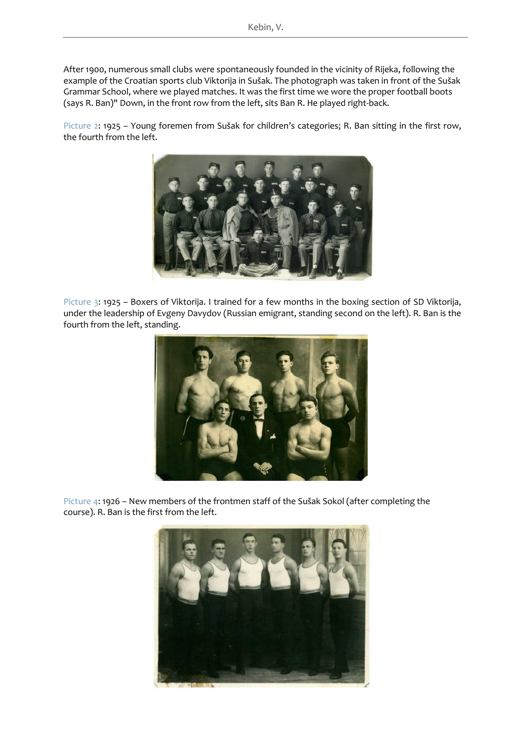After 1900, numerous small clubs were spontaneously founded in the vicinity of Rijeka, following the example of the Croatian sports club Viktorija in Sušak. The photograph was taken in front of the Sušak Grammar School, where we played matches. It was the first time we wore the proper football boots (says R. Ban)" Down, in the front row from the left, sits Ban R. He played right-back.

[Picture](#page-7-0) 2: 1925 - Young foremen from Sušak for children's categories; R. Ban sitting in the first row, the fourth from the left.

<span id="page-7-0"></span>

[Picture](#page-7-1) 3: 1925 – Boxers of Viktorija. I trained for a few months in the boxing section of SD Viktorija, under the leadership of Evgeny Davydov (Russian emigrant, standing second on the left). R. Ban is the fourth from the left, standing.

<span id="page-7-1"></span>

[Picture](#page-8-0) 4: 1926 – New members of the frontmen staff of the Sušak Sokol (after completing the course). R. Ban is the first from the left.

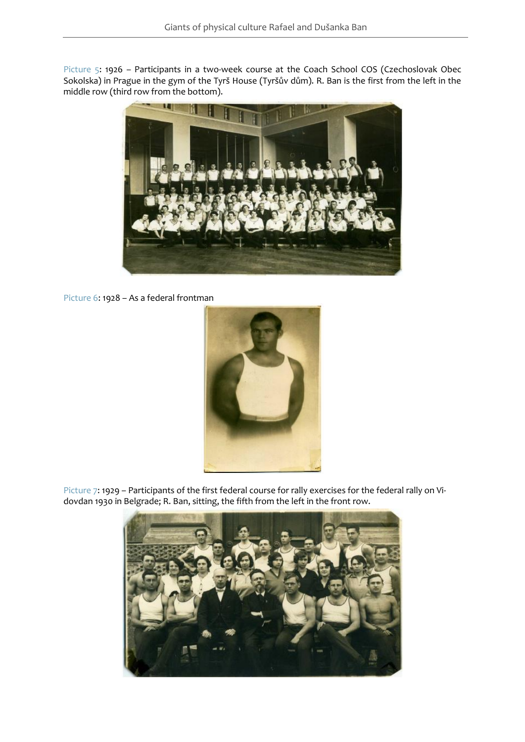<span id="page-8-1"></span><span id="page-8-0"></span>[Picture](#page-8-1) 5: 1926 – Participants in a two-week course at the Coach School COS (Czechoslovak Obec Sokolska) in Prague in the gym of the Tyrš House (Tyršův dům). R. Ban is the first from the left in the middle row (third row from the bottom).



<span id="page-8-2"></span>[Picture](#page-8-2) 6: 1928 – As a federal frontman



<span id="page-8-3"></span>[Picture 7:](#page-8-3) 1929 – Participants of the first federal course for rally exercises for the federal rally on Vidovdan 1930 in Belgrade; R. Ban, sitting, the fifth from the left in the front row.

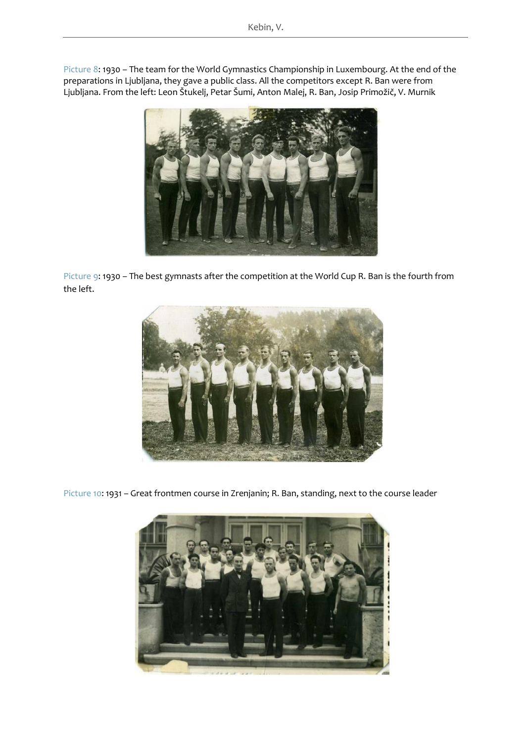[Picture](#page-9-0) 8: 1930 – The team for the World Gymnastics Championship in Luxembourg. At the end of the preparations in Ljubljana, they gave a public class. All the competitors except R. Ban were from Ljubljana. From the left: Leon Štukelj, Petar Šumi, Anton Malej, R. Ban, Josip Primožič, V. Murnik



<span id="page-9-0"></span>[Picture](#page-9-1) 9: 1930 – The best gymnasts after the competition at the World Cup R. Ban is the fourth from the left.



<span id="page-9-1"></span>[Picture 10:](#page-10-0) 1931 – Great frontmen course in Zrenjanin; R. Ban, standing, next to the course leader

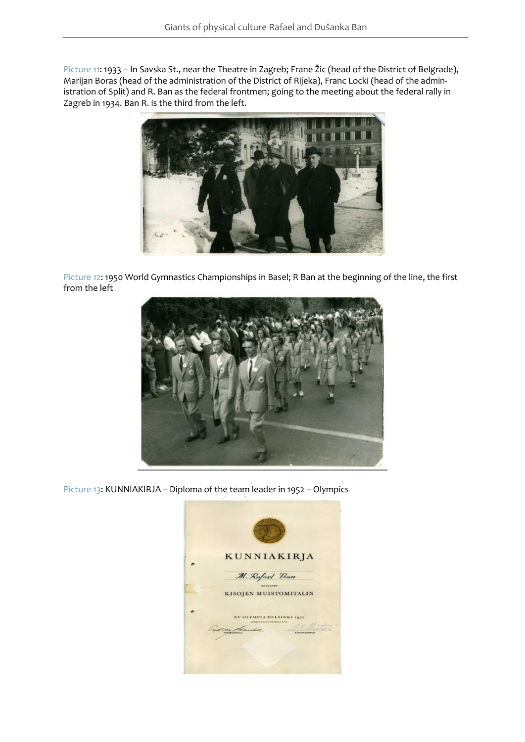<span id="page-10-1"></span><span id="page-10-0"></span>[Picture](#page-10-1) 11: 1933 – In Savska St., near the Theatre in Zagreb; Frane Žic (head of the District of Belgrade), Marijan Boras (head of the administration of the District of Rijeka), Franc Locki (head of the administration of Split) and R. Ban as the federal frontmen; going to the meeting about the federal rally in Zagreb in 1934. Ban R. is the third from the left.



<span id="page-10-2"></span>[Picture](#page-10-2) 12: 1950 World Gymnastics Championships in Basel; R Ban at the beginning of the line, the first from the left



<span id="page-10-3"></span>[Picture 13:](#page-10-3) KUNNIAKIRJA – Diploma of the team leader in 1952 – Olympics

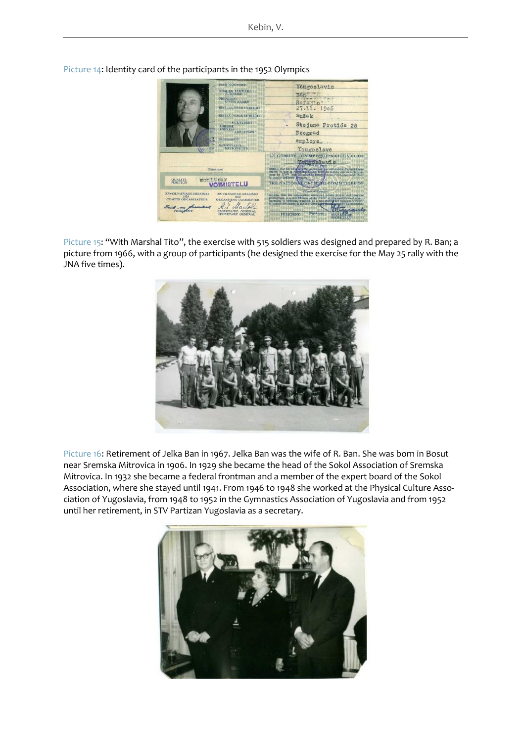

<span id="page-11-0"></span>[Picture](#page-11-0) 14: Identity card of the participants in the 1952 Olympics

<span id="page-11-1"></span>[Picture](#page-11-1) 15: "With Marshal Tito", the exercise with 515 soldiers was designed and prepared by R. Ban; a picture from 1966, with a group of participants (he designed the exercise for the May 25 rally with the JNA five times).



<span id="page-11-2"></span>[Picture 16:](#page-11-2) Retirement of Jelka Ban in 1967. Jelka Ban was the wife of R. Ban. She was born in Bosut near Sremska Mitrovica in 1906. In 1929 she became the head of the Sokol Association of Sremska Mitrovica. In 1932 she became a federal frontman and a member of the expert board of the Sokol Association, where she stayed until 1941. From 1946 to 1948 she worked at the Physical Culture Association of Yugoslavia, from 1948 to 1952 in the Gymnastics Association of Yugoslavia and from 1952 until her retirement, in STV Partizan Yugoslavia as a secretary.

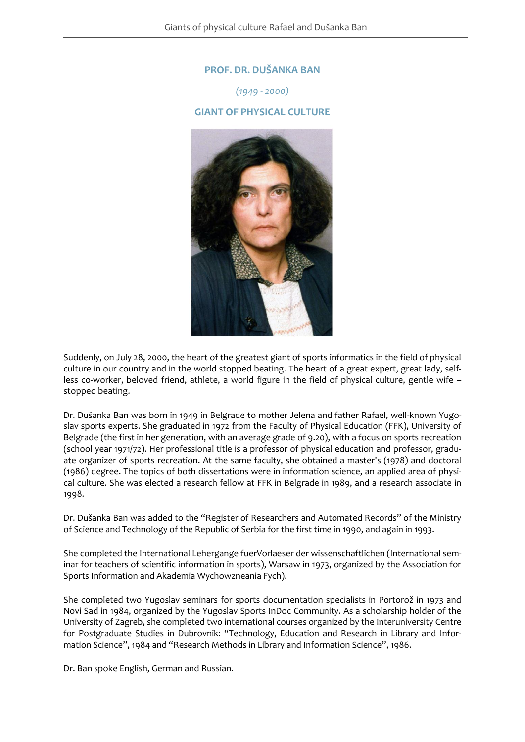## **[PROF. DR. DUŠANKA BAN](#page-12-0)**

*(1949 - 2000)* **GIANT OF PHYSICAL CULTURE**

<span id="page-12-0"></span>

Suddenly, on July 28, 2000, the heart of the greatest giant of sports informatics in the field of physical culture in our country and in the world stopped beating. The heart of a great expert, great lady, selfless co-worker, beloved friend, athlete, a world figure in the field of physical culture, gentle wife – stopped beating.

Dr. Dušanka Ban was born in 1949 in Belgrade to mother Jelena and father Rafael, well-known Yugoslav sports experts. She graduated in 1972 from the Faculty of Physical Education (FFK), University of Belgrade (the first in her generation, with an average grade of 9.20), with a focus on sports recreation (school year 1971/72). Her professional title is a professor of physical education and professor, graduate organizer of sports recreation. At the same faculty, she obtained a master's (1978) and doctoral (1986) degree. The topics of both dissertations were in information science, an applied area of physical culture. She was elected a research fellow at FFK in Belgrade in 1989, and a research associate in 1998.

Dr. Dušanka Ban was added to the "Register of Researchers and Automated Records" of the Ministry of Science and Technology of the Republic of Serbia for the first time in 1990, and again in 1993.

She completed the International Lehergange fuerVorlaeser der wissenschaftlichen (International seminar for teachers of scientific information in sports), Warsaw in 1973, organized by the Association for Sports Information and Akademia Wychowzneania Fych).

She completed two Yugoslav seminars for sports documentation specialists in Portorož in 1973 and Novi Sad in 1984, organized by the Yugoslav Sports InDoc Community. As a scholarship holder of the University of Zagreb, she completed two international courses organized by the Interuniversity Centre for Postgraduate Studies in Dubrovnik: "Technology, Education and Research in Library and Information Science", 1984 and "Research Methods in Library and Information Science", 1986.

Dr. Ban spoke English, German and Russian.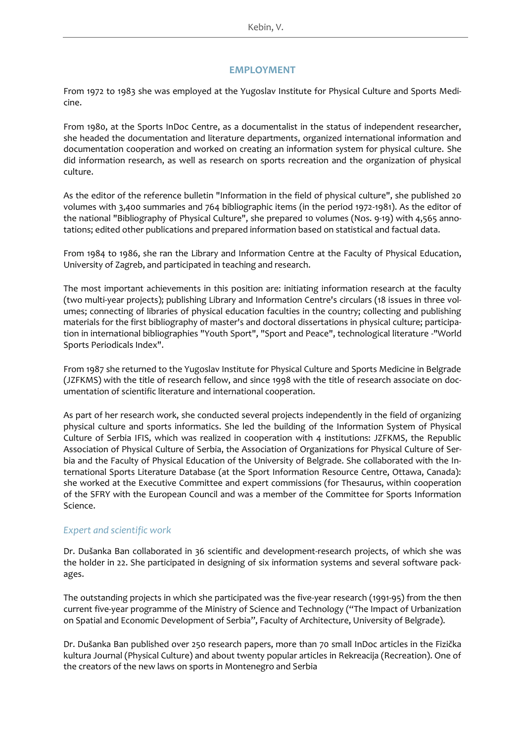### **EMPLOYMENT**

From 1972 to 1983 she was employed at the Yugoslav Institute for Physical Culture and Sports Medicine.

From 1980, at the Sports InDoc Centre, as a documentalist in the status of independent researcher, she headed the documentation and literature departments, organized international information and documentation cooperation and worked on creating an information system for physical culture. She did information research, as well as research on sports recreation and the organization of physical culture.

As the editor of the reference bulletin "Information in the field of physical culture", she published 20 volumes with 3,400 summaries and 764 bibliographic items (in the period 1972-1981). As the editor of the national "Bibliography of Physical Culture", she prepared 10 volumes (Nos. 9-19) with 4,565 annotations; edited other publications and prepared information based on statistical and factual data.

From 1984 to 1986, she ran the Library and Information Centre at the Faculty of Physical Education, University of Zagreb, and participated in teaching and research.

The most important achievements in this position are: initiating information research at the faculty (two multi-year projects); publishing Library and Information Centre's circulars (18 issues in three volumes; connecting of libraries of physical education faculties in the country; collecting and publishing materials for the first bibliography of master's and doctoral dissertations in physical culture; participation in international bibliographies "Youth Sport", "Sport and Peace", technological literature -"World Sports Periodicals Index".

From 1987 she returned to the Yugoslav Institute for Physical Culture and Sports Medicine in Belgrade (JZFKMS) with the title of research fellow, and since 1998 with the title of research associate on documentation of scientific literature and international cooperation.

As part of her research work, she conducted several projects independently in the field of organizing physical culture and sports informatics. She led the building of the Information System of Physical Culture of Serbia IFIS, which was realized in cooperation with 4 institutions: JZFKMS, the Republic Association of Physical Culture of Serbia, the Association of Organizations for Physical Culture of Serbia and the Faculty of Physical Education of the University of Belgrade. She collaborated with the International Sports Literature Database (at the Sport Information Resource Centre, Ottawa, Canada): she worked at the Executive Committee and expert commissions (for Thesaurus, within cooperation of the SFRY with the European Council and was a member of the Committee for Sports Information Science.

### *Expert and scientific work*

Dr. Dušanka Ban collaborated in 36 scientific and development-research projects, of which she was the holder in 22. She participated in designing of six information systems and several software packages.

The outstanding projects in which she participated was the five-year research (1991-95) from the then current five-year programme of the Ministry of Science and Technology ("The Impact of Urbanization on Spatial and Economic Development of Serbia", Faculty of Architecture, University of Belgrade).

Dr. Dušanka Ban published over 250 research papers, more than 70 small InDoc articles in the Fizička kultura Journal (Physical Culture) and about twenty popular articles in Rekreacija (Recreation). One of the creators of the new laws on sports in Montenegro and Serbia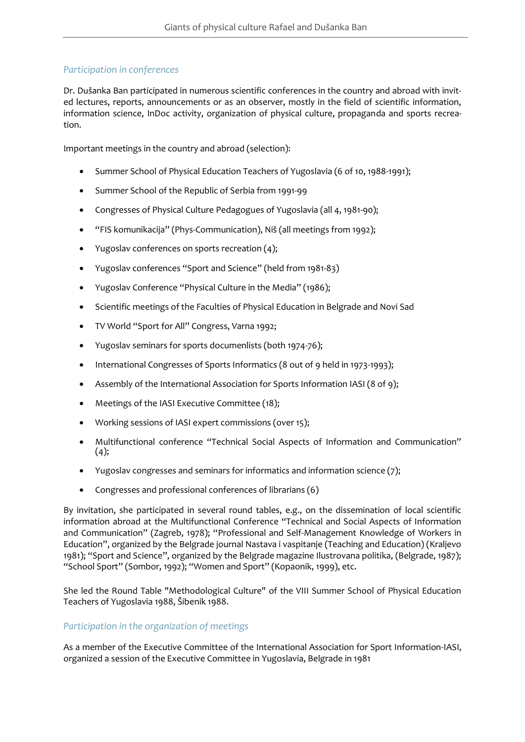## *Participation in conferences*

Dr. Dušanka Ban participated in numerous scientific conferences in the country and abroad with invited lectures, reports, announcements or as an observer, mostly in the field of scientific information, information science, InDoc activity, organization of physical culture, propaganda and sports recreation.

Important meetings in the country and abroad (selection):

- Summer School of Physical Education Teachers of Yugoslavia (6 of 10, 1988-1991);
- Summer School of the Republic of Serbia from 1991-99
- Congresses of Physical Culture Pedagogues of Yugoslavia (all 4, 1981-90);
- "FIS komunikacija" (Phys-Communication), Niš (all meetings from 1992);
- Yugoslav conferences on sports recreation (4);
- Yugoslav conferences "Sport and Science" (held from 1981-83)
- Yugoslav Conference "Physical Culture in the Media" (1986);
- Scientific meetings of the Faculties of Physical Education in Belgrade and Novi Sad
- TV World "Sport for All" Congress, Varna 1992;
- Yugoslav seminars for sports documenlists (both 1974-76);
- International Congresses of Sports Informatics (8 out of 9 held in 1973-1993);
- Assembly of the International Association for Sports Information IASI (8 of 9);
- Meetings of the IASI Executive Committee (18);
- Working sessions of IASI expert commissions (over 15);
- Multifunctional conference "Technical Social Aspects of Information and Communication"  $(4)$ ;
- Yugoslav congresses and seminars for informatics and information science (7);
- Congresses and professional conferences of librarians (6)

By invitation, she participated in several round tables, e.g., on the dissemination of local scientific information abroad at the Multifunctional Conference "Technical and Social Aspects of Information and Communication" (Zagreb, 1978); "Professional and Self-Management Knowledge of Workers in Education", organized by the Belgrade journal Nastava i vaspitanje (Teaching and Education) (Kraljevo 1981); "Sport and Science", organized by the Belgrade magazine Ilustrovana politika, (Belgrade, 1987); "School Sport" (Sombor, 1992); "Women and Sport" (Kopaonik, 1999), etc.

She led the Round Table "Methodological Culture" of the VIII Summer School of Physical Education Teachers of Yugoslavia 1988, Šibenik 1988.

## *Participation in the organization of meetings*

As a member of the Executive Committee of the International Association for Sport Information-IASI, organized a session of the Executive Committee in Yugoslavia, Belgrade in 1981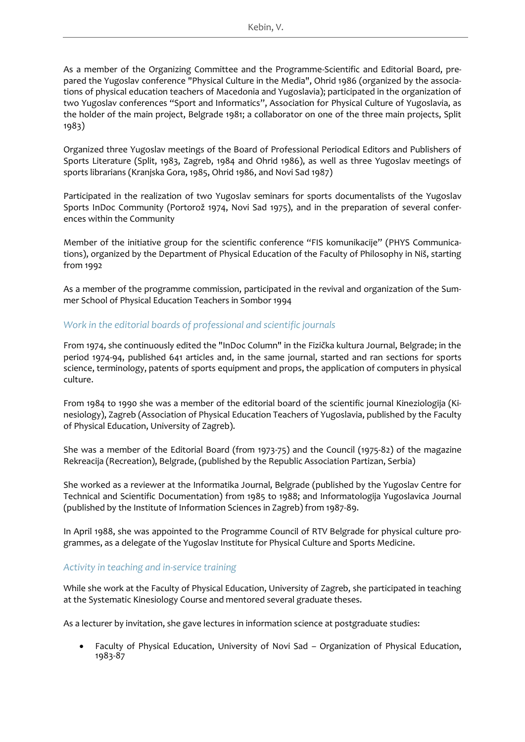As a member of the Organizing Committee and the Programme-Scientific and Editorial Board, prepared the Yugoslav conference "Physical Culture in the Media", Ohrid 1986 (organized by the associations of physical education teachers of Macedonia and Yugoslavia); participated in the organization of two Yugoslav conferences "Sport and Informatics", Association for Physical Culture of Yugoslavia, as the holder of the main project, Belgrade 1981; a collaborator on one of the three main projects, Split 1983)

Organized three Yugoslav meetings of the Board of Professional Periodical Editors and Publishers of Sports Literature (Split, 1983, Zagreb, 1984 and Ohrid 1986), as well as three Yugoslav meetings of sports librarians (Kranjska Gora, 1985, Ohrid 1986, and Novi Sad 1987)

Participated in the realization of two Yugoslav seminars for sports documentalists of the Yugoslav Sports InDoc Community (Portorož 1974, Novi Sad 1975), and in the preparation of several conferences within the Community

Member of the initiative group for the scientific conference "FIS komunikacije" (PHYS Communications), organized by the Department of Physical Education of the Faculty of Philosophy in Niš, starting from 1992

As a member of the programme commission, participated in the revival and organization of the Summer School of Physical Education Teachers in Sombor 1994

## *Work in the editorial boards of professional and scientific journals*

From 1974, she continuously edited the "InDoc Column" in the Fizička kultura Journal, Belgrade; in the period 1974-94, published 641 articles and, in the same journal, started and ran sections for sports science, terminology, patents of sports equipment and props, the application of computers in physical culture.

From 1984 to 1990 she was a member of the editorial board of the scientific journal Kineziologija (Kinesiology), Zagreb (Association of Physical Education Teachers of Yugoslavia, published by the Faculty of Physical Education, University of Zagreb).

She was a member of the Editorial Board (from 1973-75) and the Council (1975-82) of the magazine Rekreacija (Recreation), Belgrade, (published by the Republic Association Partizan, Serbia)

She worked as a reviewer at the Informatika Journal, Belgrade (published by the Yugoslav Centre for Technical and Scientific Documentation) from 1985 to 1988; and Informatologija Yugoslavica Journal (published by the Institute of Information Sciences in Zagreb) from 1987-89.

In April 1988, she was appointed to the Programme Council of RTV Belgrade for physical culture programmes, as a delegate of the Yugoslav Institute for Physical Culture and Sports Medicine.

## *Activity in teaching and in-service training*

While she work at the Faculty of Physical Education, University of Zagreb, she participated in teaching at the Systematic Kinesiology Course and mentored several graduate theses.

As a lecturer by invitation, she gave lectures in information science at postgraduate studies:

• Faculty of Physical Education, University of Novi Sad – Organization of Physical Education, 1983-87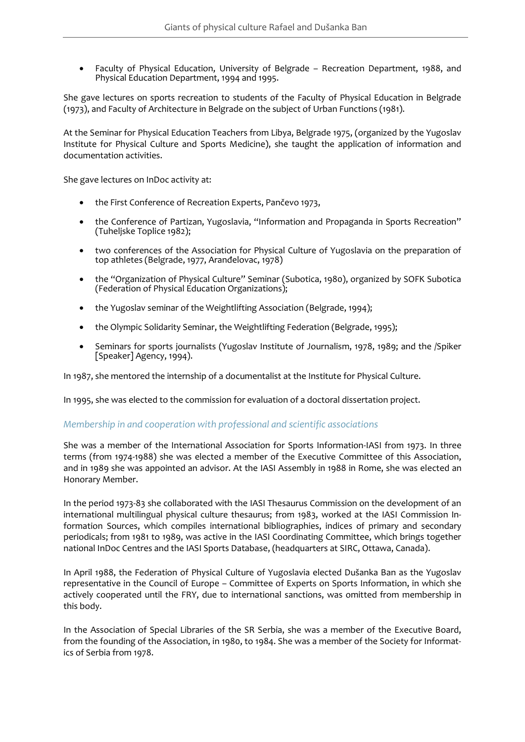• Faculty of Physical Education, University of Belgrade – Recreation Department, 1988, and Physical Education Department, 1994 and 1995.

She gave lectures on sports recreation to students of the Faculty of Physical Education in Belgrade (1973), and Faculty of Architecture in Belgrade on the subject of Urban Functions (1981).

At the Seminar for Physical Education Teachers from Libya, Belgrade 1975, (organized by the Yugoslav Institute for Physical Culture and Sports Medicine), she taught the application of information and documentation activities.

She gave lectures on InDoc activity at:

- the First Conference of Recreation Experts, Pančevo 1973,
- the Conference of Partizan, Yugoslavia, "Information and Propaganda in Sports Recreation" (Tuheljske Toplice 1982);
- two conferences of the Association for Physical Culture of Yugoslavia on the preparation of top athletes (Belgrade, 1977, Aranđelovac, 1978)
- the "Organization of Physical Culture" Seminar (Subotica, 1980), organized by SOFK Subotica (Federation of Physical Education Organizations);
- the Yugoslav seminar of the Weightlifting Association (Belgrade, 1994);
- the Olympic Solidarity Seminar, the Weightlifting Federation (Belgrade, 1995);
- Seminars for sports journalists (Yugoslav Institute of Journalism, 1978, 1989; and the /Spiker [Speaker] Agency, 1994).

In 1987, she mentored the internship of a documentalist at the Institute for Physical Culture.

In 1995, she was elected to the commission for evaluation of a doctoral dissertation project.

### *Membership in and cooperation with professional and scientific associations*

She was a member of the International Association for Sports Information-IASI from 1973. In three terms (from 1974-1988) she was elected a member of the Executive Committee of this Association, and in 1989 she was appointed an advisor. At the IASI Assembly in 1988 in Rome, she was elected an Honorary Member.

In the period 1973-83 she collaborated with the IASI Thesaurus Commission on the development of an international multilingual physical culture thesaurus; from 1983, worked at the IASI Commission Information Sources, which compiles international bibliographies, indices of primary and secondary periodicals; from 1981 to 1989, was active in the IASI Coordinating Committee, which brings together national InDoc Centres and the IASI Sports Database, (headquarters at SIRC, Ottawa, Canada).

In April 1988, the Federation of Physical Culture of Yugoslavia elected Dušanka Ban as the Yugoslav representative in the Council of Europe – Committee of Experts on Sports Information, in which she actively cooperated until the FRY, due to international sanctions, was omitted from membership in this body.

In the Association of Special Libraries of the SR Serbia, she was a member of the Executive Board, from the founding of the Association, in 1980, to 1984. She was a member of the Society for Informatics of Serbia from 1978.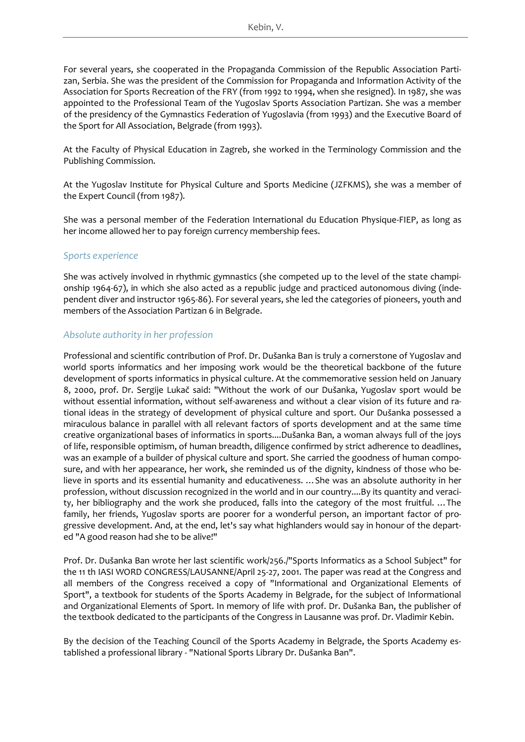For several years, she cooperated in the Propaganda Commission of the Republic Association Partizan, Serbia. She was the president of the Commission for Propaganda and Information Activity of the Association for Sports Recreation of the FRY (from 1992 to 1994, when she resigned). In 1987, she was appointed to the Professional Team of the Yugoslav Sports Association Partizan. She was a member of the presidency of the Gymnastics Federation of Yugoslavia (from 1993) and the Executive Board of the Sport for All Association, Belgrade (from 1993).

At the Faculty of Physical Education in Zagreb, she worked in the Terminology Commission and the Publishing Commission.

At the Yugoslav Institute for Physical Culture and Sports Medicine (JZFKMS), she was a member of the Expert Council (from 1987).

She was a personal member of the Federation International du Education Physique-FIEP, as long as her income allowed her to pay foreign currency membership fees.

### *Sports experience*

She was actively involved in rhythmic gymnastics (she competed up to the level of the state championship 1964-67), in which she also acted as a republic judge and practiced autonomous diving (independent diver and instructor 1965-86). For several years, she led the categories of pioneers, youth and members of the Association Partizan 6 in Belgrade.

## *Absolute authority in her profession*

Professional and scientific contribution of Prof. Dr. Dušanka Ban is truly a cornerstone of Yugoslav and world sports informatics and her imposing work would be the theoretical backbone of the future development of sports informatics in physical culture. At the commemorative session held on January 8, 2000, prof. Dr. Sergije Lukač said: "Without the work of our Dušanka, Yugoslav sport would be without essential information, without self-awareness and without a clear vision of its future and rational ideas in the strategy of development of physical culture and sport. Our Dušanka possessed a miraculous balance in parallel with all relevant factors of sports development and at the same time creative organizational bases of informatics in sports....Dušanka Ban, a woman always full of the joys of life, responsible optimism, of human breadth, diligence confirmed by strict adherence to deadlines, was an example of a builder of physical culture and sport. She carried the goodness of human composure, and with her appearance, her work, she reminded us of the dignity, kindness of those who believe in sports and its essential humanity and educativeness. …She was an absolute authority in her profession, without discussion recognized in the world and in our country....By its quantity and veracity, her bibliography and the work she produced, falls into the category of the most fruitful. …The family, her friends, Yugoslav sports are poorer for a wonderful person, an important factor of progressive development. And, at the end, let's say what highlanders would say in honour of the departed "A good reason had she to be alive!"

Prof. Dr. Dušanka Ban wrote her last scientific work/256./"Sports Informatics as a School Subject" for the 11 th IASI WORD CONGRESS/LAUSANNE/April 25-27, 2001. The paper was read at the Congress and all members of the Congress received a copy of "Informational and Organizational Elements of Sport", a textbook for students of the Sports Academy in Belgrade, for the subject of Informational and Organizational Elements of Sport. In memory of life with prof. Dr. Dušanka Ban, the publisher of the textbook dedicated to the participants of the Congress in Lausanne was prof. Dr. Vladimir Kebin.

By the decision of the Teaching Council of the Sports Academy in Belgrade, the Sports Academy established a professional library - "National Sports Library Dr. Dušanka Ban".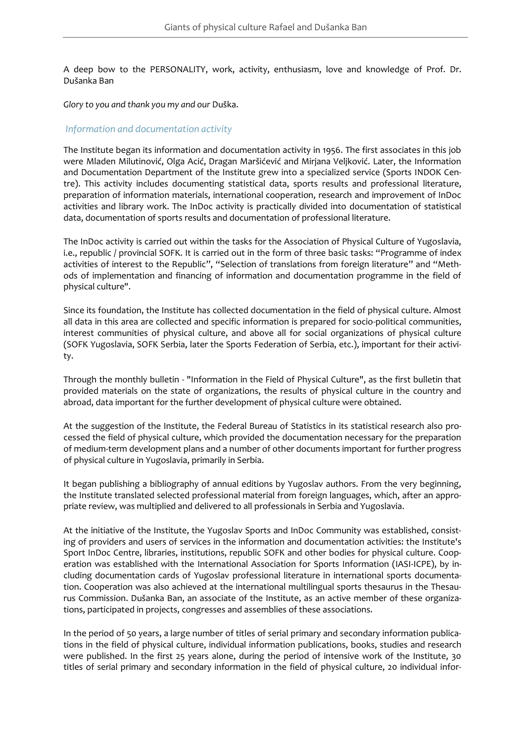A deep bow to the PERSONALITY, work, activity, enthusiasm, love and knowledge of Prof. Dr. Dušanka Ban

*Glory to you and thank you my and our* Duška.

#### *Information and documentation activity*

The Institute began its information and documentation activity in 1956. The first associates in this job were Mladen Milutinović, Olga Acić, Dragan Maršićević and Mirjana Veljković. Later, the Information and Documentation Department of the Institute grew into a specialized service (Sports INDOK Centre). This activity includes documenting statistical data, sports results and professional literature, preparation of information materials, international cooperation, research and improvement of InDoc activities and library work. The InDoc activity is practically divided into documentation of statistical data, documentation of sports results and documentation of professional literature.

The InDoc activity is carried out within the tasks for the Association of Physical Culture of Yugoslavia, i.e., republic / provincial SOFK. It is carried out in the form of three basic tasks: "Programme of index activities of interest to the Republic", "Selection of translations from foreign literature" and "Methods of implementation and financing of information and documentation programme in the field of physical culture".

Since its foundation, the Institute has collected documentation in the field of physical culture. Almost all data in this area are collected and specific information is prepared for socio-political communities, interest communities of physical culture, and above all for social organizations of physical culture (SOFK Yugoslavia, SOFK Serbia, later the Sports Federation of Serbia, etc.), important for their activity.

Through the monthly bulletin - "Information in the Field of Physical Culture", as the first bulletin that provided materials on the state of organizations, the results of physical culture in the country and abroad, data important for the further development of physical culture were obtained.

At the suggestion of the Institute, the Federal Bureau of Statistics in its statistical research also processed the field of physical culture, which provided the documentation necessary for the preparation of medium-term development plans and a number of other documents important for further progress of physical culture in Yugoslavia, primarily in Serbia.

It began publishing a bibliography of annual editions by Yugoslav authors. From the very beginning, the Institute translated selected professional material from foreign languages, which, after an appropriate review, was multiplied and delivered to all professionals in Serbia and Yugoslavia.

At the initiative of the Institute, the Yugoslav Sports and InDoc Community was established, consisting of providers and users of services in the information and documentation activities: the Institute's Sport InDoc Centre, libraries, institutions, republic SOFK and other bodies for physical culture. Cooperation was established with the International Association for Sports Information (IASI-ICPE), by including documentation cards of Yugoslav professional literature in international sports documentation. Cooperation was also achieved at the international multilingual sports thesaurus in the Thesaurus Commission. Dušanka Ban, an associate of the Institute, as an active member of these organizations, participated in projects, congresses and assemblies of these associations.

In the period of 50 years, a large number of titles of serial primary and secondary information publications in the field of physical culture, individual information publications, books, studies and research were published. In the first 25 years alone, during the period of intensive work of the Institute, 30 titles of serial primary and secondary information in the field of physical culture, 20 individual infor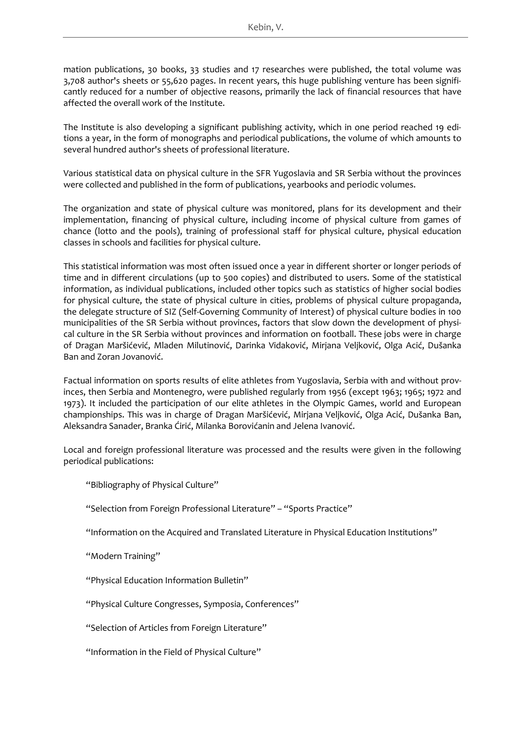mation publications, 30 books, 33 studies and 17 researches were published, the total volume was 3,708 author's sheets or 55,620 pages. In recent years, this huge publishing venture has been significantly reduced for a number of objective reasons, primarily the lack of financial resources that have affected the overall work of the Institute.

The Institute is also developing a significant publishing activity, which in one period reached 19 editions a year, in the form of monographs and periodical publications, the volume of which amounts to several hundred author's sheets of professional literature.

Various statistical data on physical culture in the SFR Yugoslavia and SR Serbia without the provinces were collected and published in the form of publications, yearbooks and periodic volumes.

The organization and state of physical culture was monitored, plans for its development and their implementation, financing of physical culture, including income of physical culture from games of chance (lotto and the pools), training of professional staff for physical culture, physical education classes in schools and facilities for physical culture.

This statistical information was most often issued once a year in different shorter or longer periods of time and in different circulations (up to 500 copies) and distributed to users. Some of the statistical information, as individual publications, included other topics such as statistics of higher social bodies for physical culture, the state of physical culture in cities, problems of physical culture propaganda, the delegate structure of SIZ (Self-Governing Community of Interest) of physical culture bodies in 100 municipalities of the SR Serbia without provinces, factors that slow down the development of physical culture in the SR Serbia without provinces and information on football. These jobs were in charge of Dragan Maršićević, Mladen Milutinović, Darinka Vidaković, Mirjana Veljković, Olga Acić, Dušanka Ban and Zoran Jovanović.

Factual information on sports results of elite athletes from Yugoslavia, Serbia with and without provinces, then Serbia and Montenegro, were published regularly from 1956 (except 1963; 1965; 1972 and 1973). It included the participation of our elite athletes in the Olympic Games, world and European championships. This was in charge of Dragan Maršićević, Mirjana Veljković, Olga Acić, Dušanka Ban, Aleksandra Sanader, Branka Ćirić, Milanka Borovićanin and Jelena Ivanović.

Local and foreign professional literature was processed and the results were given in the following periodical publications:

"Bibliography of Physical Culture"

"Selection from Foreign Professional Literature" – "Sports Practice"

"Information on the Acquired and Translated Literature in Physical Education Institutions"

"Modern Training"

"Physical Education Information Bulletin"

"Physical Culture Congresses, Symposia, Conferences"

"Selection of Articles from Foreign Literature"

"Information in the Field of Physical Culture"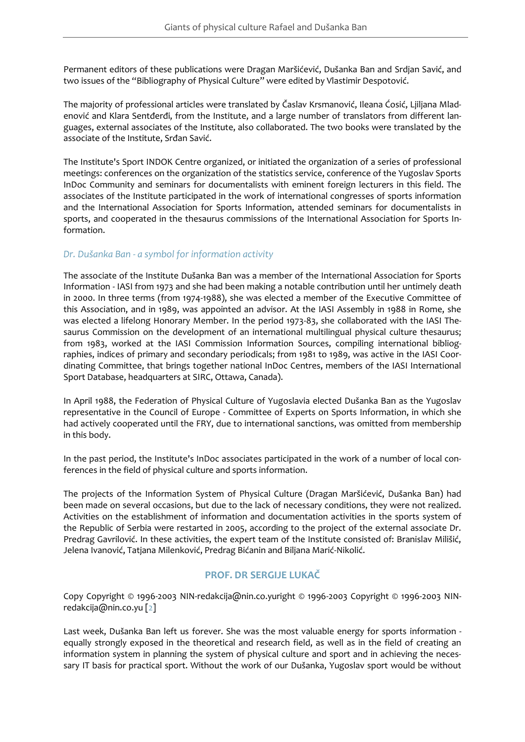Permanent editors of these publications were Dragan Maršićević, Dušanka Ban and Srdjan Savić, and two issues of the "Bibliography of Physical Culture" were edited by Vlastimir Despotović.

The majority of professional articles were translated by Časlav Krsmanović, Ileana Ćosić, Ljiljana Mladenović and Klara Sentđerđi, from the Institute, and a large number of translators from different languages, external associates of the Institute, also collaborated. The two books were translated by the associate of the Institute, Srđan Savić.

The Institute's Sport INDOK Centre organized, or initiated the organization of a series of professional meetings: conferences on the organization of the statistics service, conference of the Yugoslav Sports InDoc Community and seminars for documentalists with eminent foreign lecturers in this field. The associates of the Institute participated in the work of international congresses of sports information and the International Association for Sports Information, attended seminars for documentalists in sports, and cooperated in the thesaurus commissions of the International Association for Sports Information.

## *Dr. Dušanka Ban - a symbol for information activity*

The associate of the Institute Dušanka Ban was a member of the International Association for Sports Information - IASI from 1973 and she had been making a notable contribution until her untimely death in 2000. In three terms (from 1974-1988), she was elected a member of the Executive Committee of this Association, and in 1989, was appointed an advisor. At the IASI Assembly in 1988 in Rome, she was elected a lifelong Honorary Member. In the period 1973-83, she collaborated with the IASI Thesaurus Commission on the development of an international multilingual physical culture thesaurus; from 1983, worked at the IASI Commission Information Sources, compiling international bibliographies, indices of primary and secondary periodicals; from 1981 to 1989, was active in the IASI Coordinating Committee, that brings together national InDoc Centres, members of the IASI International Sport Database, headquarters at SIRC, Ottawa, Canada).

In April 1988, the Federation of Physical Culture of Yugoslavia elected Dušanka Ban as the Yugoslav representative in the Council of Europe - Committee of Experts on Sports Information, in which she had actively cooperated until the FRY, due to international sanctions, was omitted from membership in this body.

In the past period, the Institute's InDoc associates participated in the work of a number of local conferences in the field of physical culture and sports information.

The projects of the Information System of Physical Culture (Dragan Maršićević, Dušanka Ban) had been made on several occasions, but due to the lack of necessary conditions, they were not realized. Activities on the establishment of information and documentation activities in the sports system of the Republic of Serbia were restarted in 2005, according to the project of the external associate Dr. Predrag Gavrilović. In these activities, the expert team of the Institute consisted of: Branislav Milišić, Jelena Ivanović, Tatjana Milenković, Predrag Bićanin and Biljana Marić-Nikolić.

## **PROF. DR SERGIJE LUKAČ**

Copy Copyright © 1996-2003 NIN-redakcija@nin.co.yuright © 1996-2003 Copyright © 1996-2003 NINredakcija@nin.co.yu [\[2\]](#page-22-1)

Last week, Dušanka Ban left us forever. She was the most valuable energy for sports information equally strongly exposed in the theoretical and research field, as well as in the field of creating an information system in planning the system of physical culture and sport and in achieving the necessary IT basis for practical sport. Without the work of our Dušanka, Yugoslav sport would be without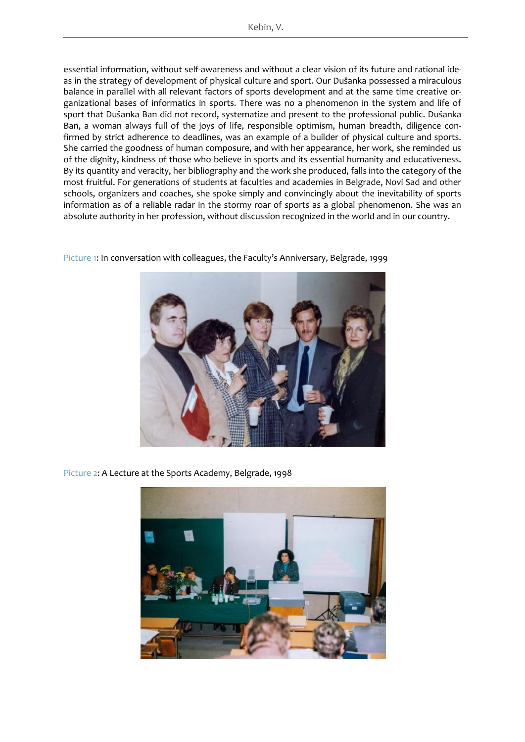essential information, without self-awareness and without a clear vision of its future and rational ideas in the strategy of development of physical culture and sport. Our Dušanka possessed a miraculous balance in parallel with all relevant factors of sports development and at the same time creative organizational bases of informatics in sports. There was no a phenomenon in the system and life of sport that Dušanka Ban did not record, systematize and present to the professional public. Dušanka Ban, a woman always full of the joys of life, responsible optimism, human breadth, diligence confirmed by strict adherence to deadlines, was an example of a builder of physical culture and sports. She carried the goodness of human composure, and with her appearance, her work, she reminded us of the dignity, kindness of those who believe in sports and its essential humanity and educativeness. By its quantity and veracity, her bibliography and the work she produced, falls into the category of the most fruitful. For generations of students at faculties and academies in Belgrade, Novi Sad and other schools, organizers and coaches, she spoke simply and convincingly about the inevitability of sports information as of a reliable radar in the stormy roar of sports as a global phenomenon. She was an absolute authority in her profession, without discussion recognized in the world and in our country.



<span id="page-21-0"></span>[Picture](#page-21-0) 1: In conversation with colleagues, the Faculty's Anniversary, Belgrade, 1999

<span id="page-21-1"></span>[Picture 2:](#page-21-1) A Lecture at the Sports Academy, Belgrade, 1998

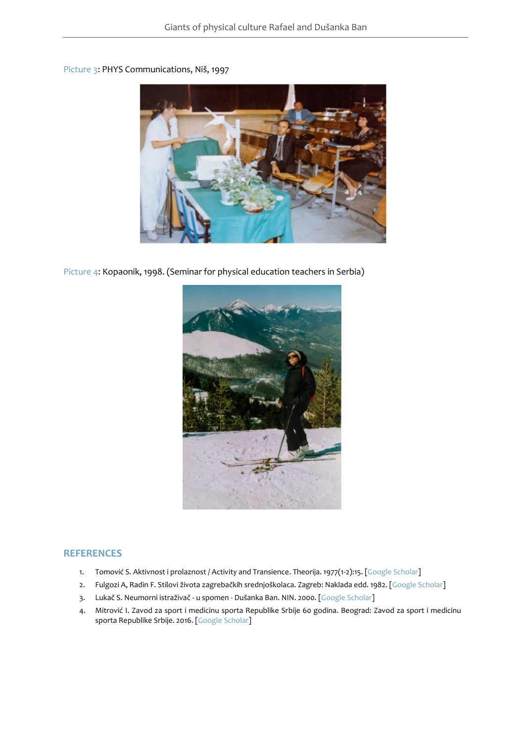## <span id="page-22-2"></span>[Picture 3:](#page-22-2) PHYS Communications, Niš, 1997



<span id="page-22-3"></span>[Picture 4:](#page-22-3) Kopaonik, 1998. (Seminar for physical education teachers in Serbia)



#### **REFERENCES**

- 1. Tomović S. Aktivnost i prolaznost / Activity and Transience. Theorija. 1977(1-2):15. [\[Google Scholar\]](https://scholar.google.com/scholar_lookup?author=Tomovi%C4%87+S.&publication_year=1977&title=Aktivnost+i+prolaznost+/+Activity+and+Transience&journal=Theoria&pages=15)
- <span id="page-22-0"></span>2. Fulgozi A, Radin F. Stilovi života zagrebačkih srednjoškolaca. Zagreb: Naklada edd. 1982. [[Google Scholar\]](https://scholar.google.com/scholar_lookup?author=Fulgozi+A.&author=Radin+F.&publication_year=1982&title=Stilovi+%C5%BEivota+zagreba%C4%8Dkih+srednjo%C5%A1kolaca)
- <span id="page-22-1"></span>3. Lukač S. Neumorni istraživač - u spomen - Dušanka Ban. NIN. 2000. [\[Google Scholar\]](https://scholar.google.com/scholar_lookup?author=Luka%C4%8D+S.&publication_year=2000&title=Neumorni+istra%C5%BEiva%C4%8D+-+u+spomen+-+Du%C5%A1anka+Ban&journal=NIN)
- 4. Mitrović I. Zavod za sport i medicinu sporta Republike Srbije 60 godina. Beograd: Zavod za sport i medicinu sporta Republike Srbije. 2016. [Google [Scholar\]](https://scholar.google.com/scholar_lookup?author=Mitrovi%C4%87+I.&publication_year=2016&title=Zavod+za+sport+i+medicinu+sporta+Republike+Srbije+60+godina)